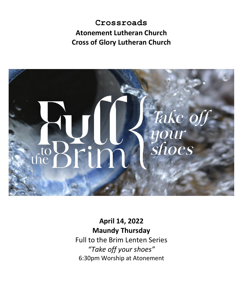# **Crossroads Atonement Lutheran Church Cross of Glory Lutheran Church**



# **April 14, 2022 Maundy Thursday**

Full to the Brim Lenten Series *"Take off your shoes"* 6:30pm Worship at Atonement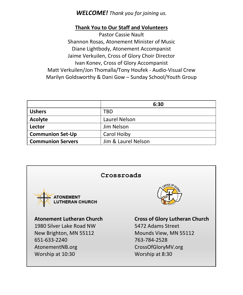## *WELCOME! Thank you for joining us.*

#### **Thank You to Our Staff and Volunteers**

Pastor Cassie Nault Shannon Rosas, Atonement Minister of Music Diane Lightbody, Atonement Accompanist Jaime Verkuilen, Cross of Glory Choir Director Ivan Konev, Cross of Glory Accompanist Matt Verkuilen/Jon Thomalla/Tony Houfek - Audio-Visual Crew Marilyn Goldsworthy & Dani Gow – Sunday School/Youth Group

|                          | 6:30                |
|--------------------------|---------------------|
| <b>Ushers</b>            | TBD                 |
| Acolyte                  | Laurel Nelson       |
| Lector                   | Jim Nelson          |
| <b>Communion Set-Up</b>  | Carol Hoiby         |
| <b>Communion Servers</b> | Jim & Laurel Nelson |

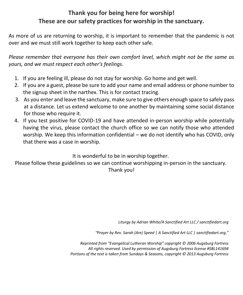# **Thank you for being here for worship! These are our safety practices for worship in the sanctuary.**

As more of us are returning to worship, it is important to remember that the pandemic is not over and we must still work together to keep each other safe.

*Please remember that everyone has their own comfort level, which might not be the same as yours, and we must respect each other's feelings.*

- 1. If you are feeling ill, please do not stay for worship. Go home and get well.
- 2. If you are a guest, please be sure to add your name and email address or phone number to the signup sheet in the narthex. This is for contact tracing.
- 3. As you enter and leave the sanctuary, make sure to give others enough space to safely pass at a distance. Let us extend welcome to one another by maintaining some social distance for those who require it.
- 4. If you test positive for COVID-19 and have attended in-person worship while potentially having the virus, please contact the church office so we can notify those who attended worship. We keep this information confidential – we do not identify who has COVID, only that there was a case in worship.

## It is wonderful to be in worship together.

Please follow these guidelines so we can continue worshipping in-person in the sanctuary. Thank you!

*Liturgy by Adrian White/A Sanctified Art LLC / sanctifiedart.org*

*"Prayer by Rev. Sarah (Are) Speed | A Sanctified Art LLC | sanctifiedart.org."*

*Reprinted from "Evangelical Lutheran Worship" copyright © 2006 Augsburg Fortress All rights reserved. Used by permission of Augsburg Fortress license #SBL141694 Portions of the text is taken from Sundays & Seasons, copyright © 2013 Augsburg Fortress*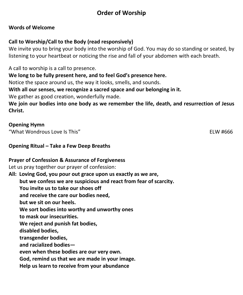# **Order of Worship**

#### **Words of Welcome**

### **Call to Worship/Call to the Body (read responsively)**

We invite you to bring your body into the worship of God. You may do so standing or seated, by listening to your heartbeat or noticing the rise and fall of your abdomen with each breath.

A call to worship is a call to presence.

**We long to be fully present here, and to feel God's presence here.**

Notice the space around us, the way it looks, smells, and sounds.

**With all our senses, we recognize a sacred space and our belonging in it.**

We gather as good creation, wonderfully made.

**We join our bodies into one body as we remember the life, death, and resurrection of Jesus Christ.**

#### **Opening Hymn**

"What Wondrous Love Is This" ELW #666

#### **Opening Ritual – Take a Few Deep Breaths**

#### **Prayer of Confession & Assurance of Forgiveness**

Let us pray together our prayer of confession:

**All: Loving God, you pour out grace upon us exactly as we are, but we confess we are suspicious and react from fear of scarcity. You invite us to take our shoes off and receive the care our bodies need, but we sit on our heels. We sort bodies into worthy and unworthy ones to mask our insecurities. We reject and punish fat bodies, disabled bodies, transgender bodies, and racialized bodies even when these bodies are our very own. God, remind us that we are made in your image. Help us learn to receive from your abundance**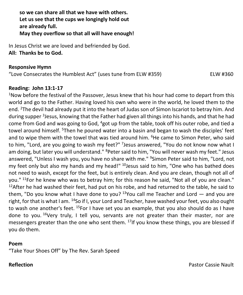**so we can share all that we have with others. Let us see that the cups we longingly hold out are already full. May they overflow so that all will have enough!**

In Jesus Christ we are loved and befriended by God. **All: Thanks be to God.**

#### **Responsive Hymn**

"Love Consecrates the Humblest Act" (uses tune from ELW #359) ELW #360

#### **Reading: John 13:1-17**

<sup>1</sup>Now before the festival of the Passover, Jesus knew that his hour had come to depart from this world and go to the Father. Having loved his own who were in the world, he loved them to the end. <sup>2</sup>The devil had already put it into the heart of Judas son of Simon Iscariot to betray him. And during supper <sup>3</sup>Jesus, knowing that the Father had given all things into his hands, and that he had come from God and was going to God, <sup>4</sup>got up from the table, took off his outer robe, and tied a towel around himself. <sup>5</sup>Then he poured water into a basin and began to wash the disciples' feet and to wipe them with the towel that was tied around him. <sup>6</sup>He came to Simon Peter, who said to him, "Lord, are you going to wash my feet?" <sup>7</sup>Jesus answered, "You do not know now what I am doing, but later you will understand." <sup>8</sup>Peter said to him, "You will never wash my feet." Jesus answered, "Unless I wash you, you have no share with me." <sup>9</sup>Simon Peter said to him, "Lord, not my feet only but also my hands and my head!" <sup>10</sup>Jesus said to him, "One who has bathed does not need to wash, except for the feet, but is entirely clean. And you are clean, though not all of you." <sup>11</sup>For he knew who was to betray him; for this reason he said, "Not all of you are clean."  $12$ After he had washed their feet, had put on his robe, and had returned to the table, he said to them, "Do you know what I have done to you?  $13$ You call me Teacher and Lord  $-$  and you are right, for that is what I am. <sup>14</sup>So if I, your Lord and Teacher, have washed your feet, you also ought to wash one another's feet. <sup>15</sup>For I have set you an example, that you also should do as I have done to you. <sup>16</sup>Very truly, I tell you, servants are not greater than their master, nor are messengers greater than the one who sent them.  $17$ If you know these things, you are blessed if you do them.

#### **Poem**

"Take Your Shoes Off" by The Rev. Sarah Speed

**Reflection Pastor Cassie Nault Pastor Cassie Nault Pastor Cassie Nault**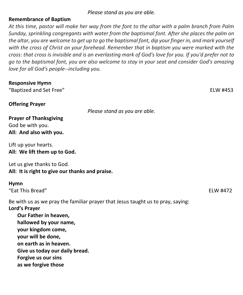*Please stand as you are able.*

#### **Remembrance of Baptism**

*At this time, pastor will make her way from the font to the altar with a palm branch from Palm Sunday, sprinkling congregants with water from the baptismal font. After she places the palm on the altar, you are welcome to get up to go the baptismal font, dip your finger in, and mark yourself with the cross of Christ on your forehead. Remember that in baptism you were marked with the cross: that cross is invisible and is an everlasting mark of God's love for you. If you'd prefer not to go to the baptismal font, you are also welcome to stay in your seat and consider God's amazing love for all God's people--including you.* 

| <b>Responsive Hymn</b><br>"Baptized and Set Free"                                                                                                                                                                      |                                                                                 | ELW #453 |
|------------------------------------------------------------------------------------------------------------------------------------------------------------------------------------------------------------------------|---------------------------------------------------------------------------------|----------|
| <b>Offering Prayer</b>                                                                                                                                                                                                 | Please stand as you are able.                                                   |          |
| <b>Prayer of Thanksgiving</b><br>God be with you.<br>All: And also with you.                                                                                                                                           |                                                                                 |          |
| Lift up your hearts.<br>All: We lift them up to God.                                                                                                                                                                   |                                                                                 |          |
| Let us give thanks to God.<br>All: It is right to give our thanks and praise.                                                                                                                                          |                                                                                 |          |
| <b>Hymn</b><br>"Eat This Bread"                                                                                                                                                                                        |                                                                                 | ELW #472 |
| Lord's Prayer<br>Our Father in heaven,<br>hallowed by your name,<br>your kingdom come,<br>your will be done,<br>on earth as in heaven.<br>Give us today our daily bread.<br>Forgive us our sins<br>as we forgive those | Be with us as we pray the familiar prayer that Jesus taught us to pray, saying: |          |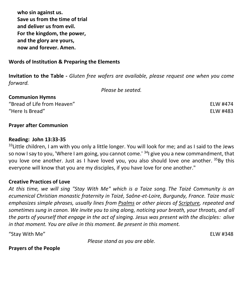**who sin against us. Save us from the time of trial and deliver us from evil. For the kingdom, the power, and the glory are yours, now and forever. Amen.**

#### **Words of Institution & Preparing the Elements**

**Invitation to the Table -** *Gluten free wafers are available, please request one when you come forward.*

*Please be seated.*

| "Bread of Life from Heaven" | ELW #474 |
|-----------------------------|----------|
| "Here Is Bread"             | ELW #483 |

#### **Prayer after Communion**

**Communion Hymns**

#### **Reading: John 13:33-35**

 $33$ Little children, I am with you only a little longer. You will look for me; and as I said to the Jews so now I say to you, 'Where I am going, you cannot come.'  $34$ I give you a new commandment, that you love one another. Just as I have loved you, you also should love one another. <sup>35</sup>By this everyone will know that you are my disciples, if you have love for one another."

#### **Creative Practices of Love**

*At this time, we will sing "Stay With Me" which is a Taize song. The Taizé Community is an ecumenical Christian monastic fraternity in Taizé, Saône-et-Loire, Burgundy, France. Taize music emphasizes simple phrases, usually lines from [Psalms](https://en.wikipedia.org/wiki/Psalms) or other pieces of [Scripture,](https://en.wikipedia.org/wiki/Scripture) repeated and sometimes sung in canon. We invite you to sing along, noticing your breath, your throats, and all the parts of yourself that engage in the act of singing. Jesus was present with the disciples: alive in that moment. You are alive in this moment. Be present in this moment.*

"Stay With Me" ELW #348

*Please stand as you are able.*

**Prayers of the People**